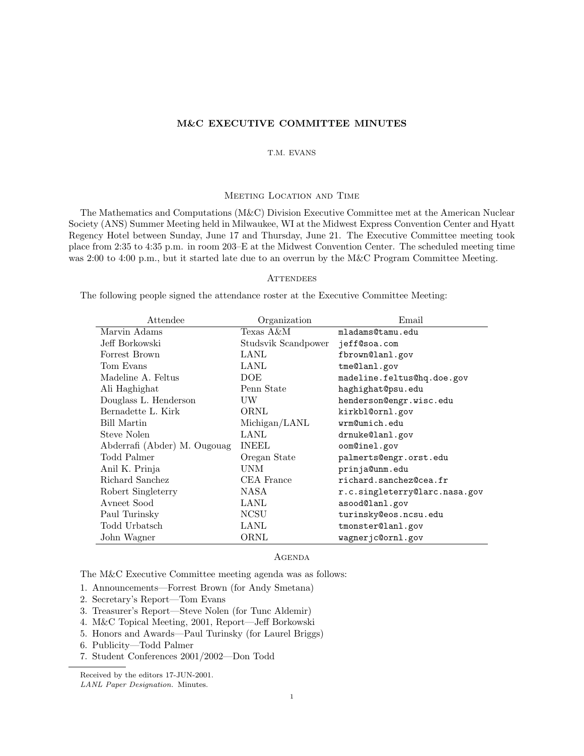# M&C EXECUTIVE COMMITTEE MINUTES

## T.M. EVANS

## Meeting Location and Time

The Mathematics and Computations (M&C) Division Executive Committee met at the American Nuclear Society (ANS) Summer Meeting held in Milwaukee, WI at the Midwest Express Convention Center and Hyatt Regency Hotel between Sunday, June 17 and Thursday, June 21. The Executive Committee meeting took place from 2:35 to 4:35 p.m. in room 203–E at the Midwest Convention Center. The scheduled meeting time was 2:00 to 4:00 p.m., but it started late due to an overrun by the M&C Program Committee Meeting.

## **ATTENDEES**

The following people signed the attendance roster at the Executive Committee Meeting:

| Attendee                     | Organization        | Email                         |
|------------------------------|---------------------|-------------------------------|
| Marvin Adams                 | Texas A&M           | mladams@tamu.edu              |
| Jeff Borkowski               | Studsvik Scandpower | jeff@soa.com                  |
| Forrest Brown                | LANL                | fbrown@lanl.gov               |
| Tom Evans                    | LANL                | tme@lanl.gov                  |
| Madeline A. Feltus           | <b>DOE</b>          | madeline.feltus@hq.doe.gov    |
| Ali Haghighat                | Penn State          | haghighat@psu.edu             |
| Douglass L. Henderson        | UW                  | henderson@engr.wisc.edu       |
| Bernadette L. Kirk           | ORNL                | kirkbl@ornl.gov               |
| Bill Martin                  | Michigan/LANL       | wrm@umich.edu                 |
| Steve Nolen                  | LANL                | drnuke@lanl.gov               |
| Abderrafi (Abder) M. Ougouag | <b>INEEL</b>        | oom@inel.gov                  |
| Todd Palmer                  | Oregan State        | palmerts@engr.orst.edu        |
| Anil K. Prinja               | UNM                 | prinja@unm.edu                |
| Richard Sanchez              | CEA France          | richard.sanchez@cea.fr        |
| Robert Singleterry           | NASA                | r.c.singleterry@larc.nasa.gov |
| Avneet Sood                  | LANL                | asood@lanl.gov                |
| Paul Turinsky                | <b>NCSU</b>         | turinsky@eos.ncsu.edu         |
| Todd Urbatsch                | LANL                | tmonster@lanl.gov             |
| John Wagner                  | ORNL                | wagnerjc@ornl.gov             |

#### **AGENDA**

The M&C Executive Committee meeting agenda was as follows:

- 1. Announcements—Forrest Brown (for Andy Smetana)
- 2. Secretary's Report—Tom Evans
- 3. Treasurer's Report—Steve Nolen (for Tunc Aldemir)
- 4. M&C Topical Meeting, 2001, Report—Jeff Borkowski
- 5. Honors and Awards—Paul Turinsky (for Laurel Briggs)
- 6. Publicity—Todd Palmer
- 7. Student Conferences 2001/2002—Don Todd

Received by the editors 17-JUN-2001. LANL Paper Designation. Minutes.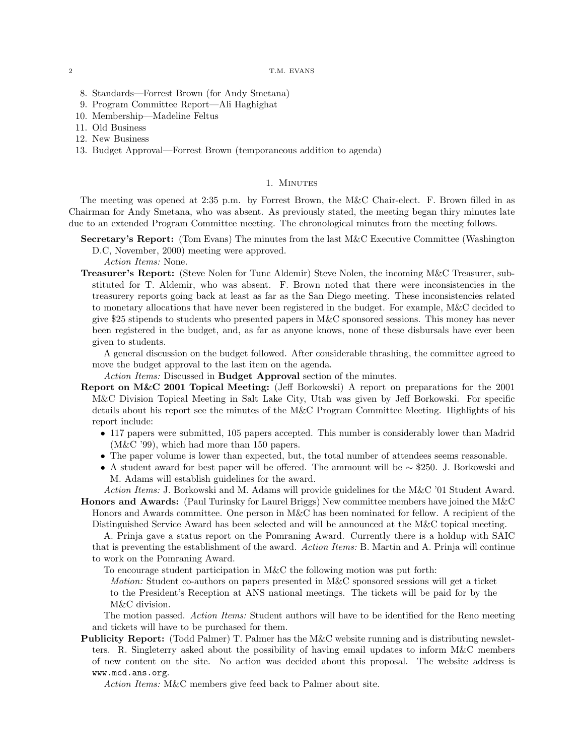### 2 T.M. EVANS

- 8. Standards—Forrest Brown (for Andy Smetana)
- 9. Program Committee Report—Ali Haghighat
- 10. Membership—Madeline Feltus
- 11. Old Business
- 12. New Business
- 13. Budget Approval—Forrest Brown (temporaneous addition to agenda)

### 1. MINUTES

The meeting was opened at 2:35 p.m. by Forrest Brown, the M&C Chair-elect. F. Brown filled in as Chairman for Andy Smetana, who was absent. As previously stated, the meeting began thiry minutes late due to an extended Program Committee meeting. The chronological minutes from the meeting follows.

Secretary's Report: (Tom Evans) The minutes from the last M&C Executive Committee (Washington D.C, November, 2000) meeting were approved.

Action Items: None.

Treasurer's Report: (Steve Nolen for Tunc Aldemir) Steve Nolen, the incoming M&C Treasurer, substituted for T. Aldemir, who was absent. F. Brown noted that there were inconsistencies in the treasurery reports going back at least as far as the San Diego meeting. These inconsistencies related to monetary allocations that have never been registered in the budget. For example, M&C decided to give \$25 stipends to students who presented papers in M&C sponsored sessions. This money has never been registered in the budget, and, as far as anyone knows, none of these disbursals have ever been given to students.

A general discussion on the budget followed. After considerable thrashing, the committee agreed to move the budget approval to the last item on the agenda.

Action Items: Discussed in Budget Approval section of the minutes.

- Report on M&C 2001 Topical Meeting: (Jeff Borkowski) A report on preparations for the 2001 M&C Division Topical Meeting in Salt Lake City, Utah was given by Jeff Borkowski. For specific details about his report see the minutes of the M&C Program Committee Meeting. Highlights of his report include:
	- 117 papers were submitted, 105 papers accepted. This number is considerably lower than Madrid (M&C '99), which had more than 150 papers.
	- The paper volume is lower than expected, but, the total number of attendees seems reasonable.
	- A student award for best paper will be offered. The ammount will be  $\sim$  \$250. J. Borkowski and M. Adams will establish guidelines for the award.

Action Items: J. Borkowski and M. Adams will provide guidelines for the M&C '01 Student Award. Honors and Awards: (Paul Turinsky for Laurel Briggs) New committee members have joined the M&C Honors and Awards committee. One person in M&C has been nominated for fellow. A recipient of the

Distinguished Service Award has been selected and will be announced at the M&C topical meeting.

A. Prinja gave a status report on the Pomraning Award. Currently there is a holdup with SAIC that is preventing the establishment of the award. Action Items: B. Martin and A. Prinja will continue to work on the Pomraning Award.

To encourage student participation in M&C the following motion was put forth:

Motion: Student co-authors on papers presented in M&C sponsored sessions will get a ticket to the President's Reception at ANS national meetings. The tickets will be paid for by the M&C division.

The motion passed. Action Items: Student authors will have to be identified for the Reno meeting and tickets will have to be purchased for them.

Publicity Report: (Todd Palmer) T. Palmer has the M&C website running and is distributing newsletters. R. Singleterry asked about the possibility of having email updates to inform M&C members of new content on the site. No action was decided about this proposal. The website address is www.mcd.ans.org.

Action Items: M&C members give feed back to Palmer about site.